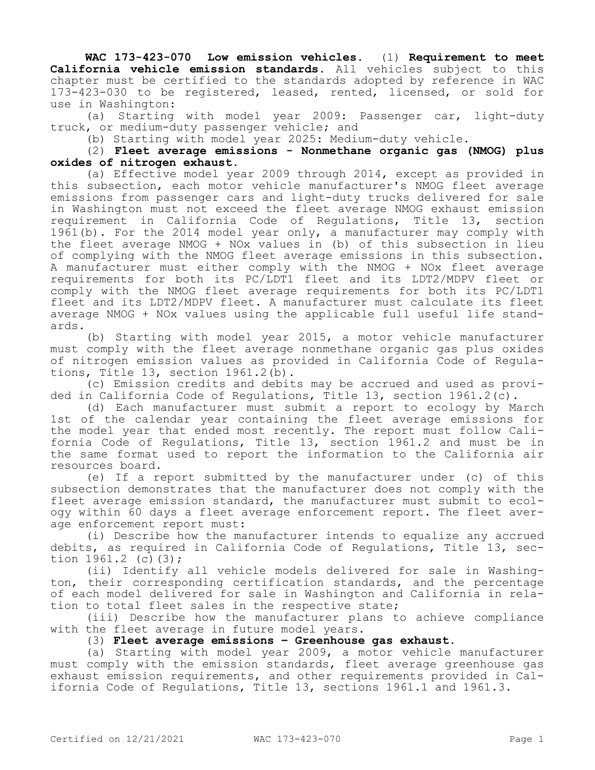**WAC 173-423-070 Low emission vehicles.** (1) **Requirement to meet California vehicle emission standards.** All vehicles subject to this chapter must be certified to the standards adopted by reference in WAC 173-423-030 to be registered, leased, rented, licensed, or sold for use in Washington:

(a) Starting with model year 2009: Passenger car, light-duty truck, or medium-duty passenger vehicle; and

(b) Starting with model year 2025: Medium-duty vehicle.

(2) **Fleet average emissions - Nonmethane organic gas (NMOG) plus oxides of nitrogen exhaust.**

(a) Effective model year 2009 through 2014, except as provided in this subsection, each motor vehicle manufacturer's NMOG fleet average emissions from passenger cars and light-duty trucks delivered for sale in Washington must not exceed the fleet average NMOG exhaust emission requirement in California Code of Regulations, Title 13, section 1961(b). For the 2014 model year only, a manufacturer may comply with the fleet average NMOG + NOx values in (b) of this subsection in lieu of complying with the NMOG fleet average emissions in this subsection. A manufacturer must either comply with the NMOG + NOx fleet average requirements for both its PC/LDT1 fleet and its LDT2/MDPV fleet or comply with the NMOG fleet average requirements for both its PC/LDT1 fleet and its LDT2/MDPV fleet. A manufacturer must calculate its fleet average NMOG + NOx values using the applicable full useful life standards.

(b) Starting with model year 2015, a motor vehicle manufacturer must comply with the fleet average nonmethane organic gas plus oxides of nitrogen emission values as provided in California Code of Regulations, Title 13, section 1961.2(b).

(c) Emission credits and debits may be accrued and used as provided in California Code of Regulations, Title 13, section 1961.2(c).

(d) Each manufacturer must submit a report to ecology by March 1st of the calendar year containing the fleet average emissions for the model year that ended most recently. The report must follow California Code of Regulations, Title 13, section 1961.2 and must be in the same format used to report the information to the California air resources board.

(e) If a report submitted by the manufacturer under (c) of this subsection demonstrates that the manufacturer does not comply with the fleet average emission standard, the manufacturer must submit to ecology within 60 days a fleet average enforcement report. The fleet average enforcement report must:

(i) Describe how the manufacturer intends to equalize any accrued debits, as required in California Code of Regulations, Title 13, section 1961.2 (c)(3);

(ii) Identify all vehicle models delivered for sale in Washington, their corresponding certification standards, and the percentage of each model delivered for sale in Washington and California in relation to total fleet sales in the respective state;

(iii) Describe how the manufacturer plans to achieve compliance with the fleet average in future model years.

(3) **Fleet average emissions – Greenhouse gas exhaust.**

(a) Starting with model year 2009, a motor vehicle manufacturer must comply with the emission standards, fleet average greenhouse gas exhaust emission requirements, and other requirements provided in California Code of Regulations, Title 13, sections 1961.1 and 1961.3.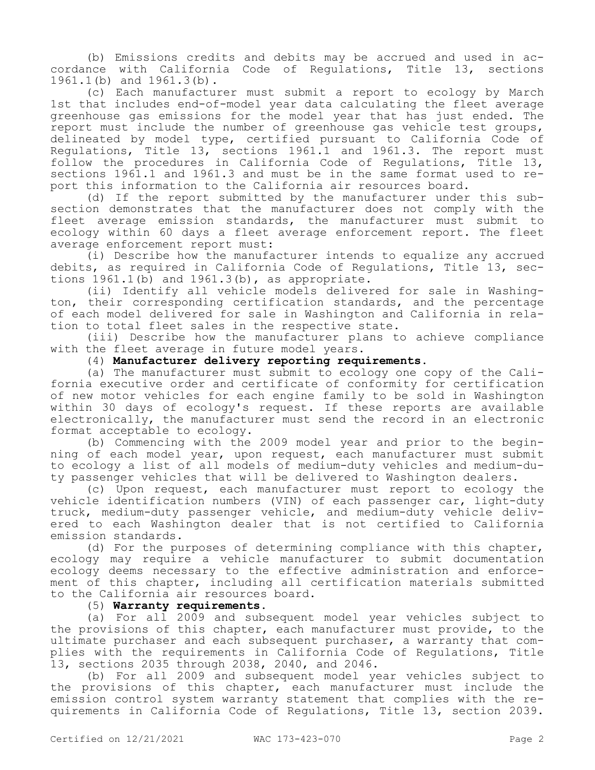(b) Emissions credits and debits may be accrued and used in accordance with California Code of Regulations, Title 13, sections 1961.1(b) and 1961.3(b).

(c) Each manufacturer must submit a report to ecology by March 1st that includes end-of-model year data calculating the fleet average greenhouse gas emissions for the model year that has just ended. The report must include the number of greenhouse gas vehicle test groups, delineated by model type, certified pursuant to California Code of Regulations, Title 13, sections 1961.1 and 1961.3. The report must follow the procedures in California Code of Regulations, Title 13, sections 1961.1 and 1961.3 and must be in the same format used to report this information to the California air resources board.

(d) If the report submitted by the manufacturer under this subsection demonstrates that the manufacturer does not comply with the fleet average emission standards, the manufacturer must submit to ecology within 60 days a fleet average enforcement report. The fleet average enforcement report must:

(i) Describe how the manufacturer intends to equalize any accrued debits, as required in California Code of Regulations, Title 13, sections  $1961.1(b)$  and  $1961.3(b)$ , as appropriate.

(ii) Identify all vehicle models delivered for sale in Washington, their corresponding certification standards, and the percentage of each model delivered for sale in Washington and California in relation to total fleet sales in the respective state.

(iii) Describe how the manufacturer plans to achieve compliance with the fleet average in future model years.

## (4) **Manufacturer delivery reporting requirements.**

(a) The manufacturer must submit to ecology one copy of the California executive order and certificate of conformity for certification of new motor vehicles for each engine family to be sold in Washington within 30 days of ecology's request. If these reports are available electronically, the manufacturer must send the record in an electronic format acceptable to ecology.

(b) Commencing with the 2009 model year and prior to the beginning of each model year, upon request, each manufacturer must submit to ecology a list of all models of medium-duty vehicles and medium-duty passenger vehicles that will be delivered to Washington dealers.

(c) Upon request, each manufacturer must report to ecology the vehicle identification numbers (VIN) of each passenger car, light-duty truck, medium-duty passenger vehicle, and medium-duty vehicle delivered to each Washington dealer that is not certified to California emission standards.

(d) For the purposes of determining compliance with this chapter, ecology may require a vehicle manufacturer to submit documentation ecology deems necessary to the effective administration and enforcement of this chapter, including all certification materials submitted to the California air resources board.

(5) **Warranty requirements.**

(a) For all 2009 and subsequent model year vehicles subject to the provisions of this chapter, each manufacturer must provide, to the ultimate purchaser and each subsequent purchaser, a warranty that complies with the requirements in California Code of Regulations, Title 13, sections 2035 through 2038, 2040, and 2046.

(b) For all 2009 and subsequent model year vehicles subject to the provisions of this chapter, each manufacturer must include the emission control system warranty statement that complies with the requirements in California Code of Regulations, Title 13, section 2039.